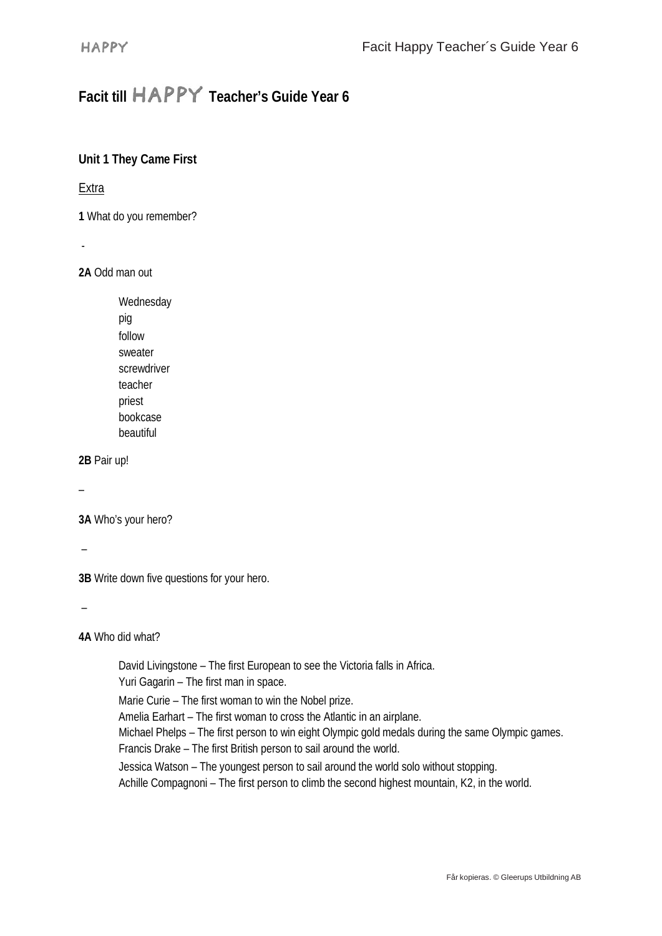# **Facit till Teacher's Guide Year 6**

## **Unit 1 They Came First**

#### **Extra**

**1** What do you remember?

-

**2A** Odd man out

Wednesday pig follow sweater screwdriver teacher priest bookcase beautiful

**2B** Pair up!

–

**3A** Who's your hero?

–

**3B** Write down five questions for your hero.

–

**4A** Who did what?

David Livingstone – The first European to see the Victoria falls in Africa. Yuri Gagarin – The first man in space. Marie Curie – The first woman to win the Nobel prize. Amelia Earhart – The first woman to cross the Atlantic in an airplane. Michael Phelps – The first person to win eight Olympic gold medals during the same Olympic games. Francis Drake – The first British person to sail around the world. Jessica Watson – The youngest person to sail around the world solo without stopping. Achille Compagnoni – The first person to climb the second highest mountain, K2, in the world.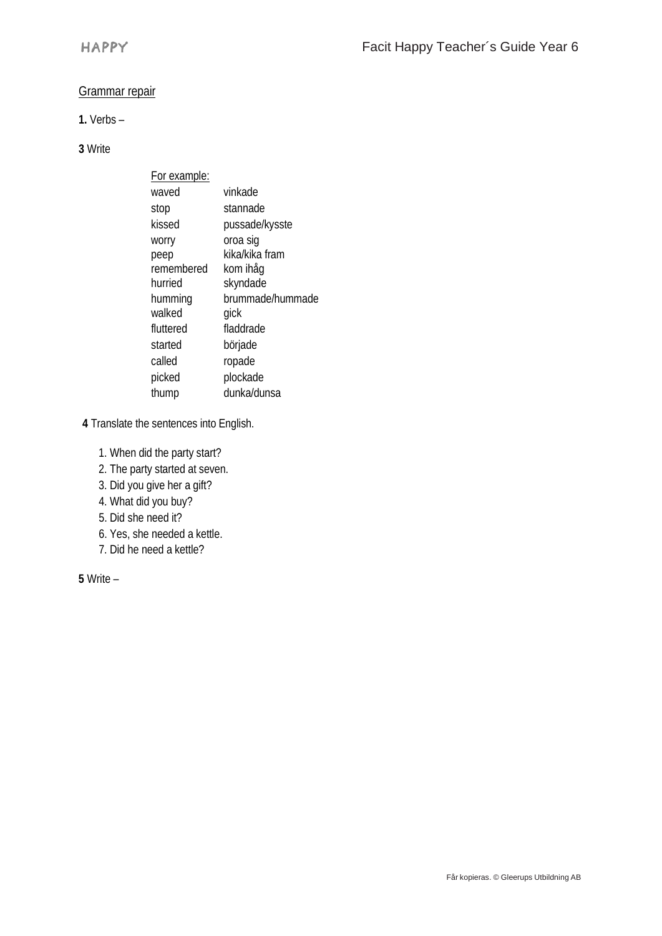#### Grammar repair

#### **1.** Verbs –

### **3** Write

| For example: |                  |
|--------------|------------------|
| waved        | vinkade          |
| stop         | stannade         |
| kissed       | pussade/kysste   |
| worry        | oroa sig         |
| peep         | kika/kika fram   |
| remembered   | kom ihåg         |
| hurried      | skyndade         |
| humming      | brummade/hummade |
| walked       | qick             |
| fluttered    | fladdrade        |
| started      | började          |
| called       | ropade           |
| picked       | plockade         |
| thump        | dunka/dunsa      |

**4** Translate the sentences into English.

- 1. When did the party start?
- 2. The party started at seven.
- 3. Did you give her a gift?
- 4. What did you buy?
- 5. Did she need it?
- 6. Yes, she needed a kettle.
- 7. Did he need a kettle?

**5** Write –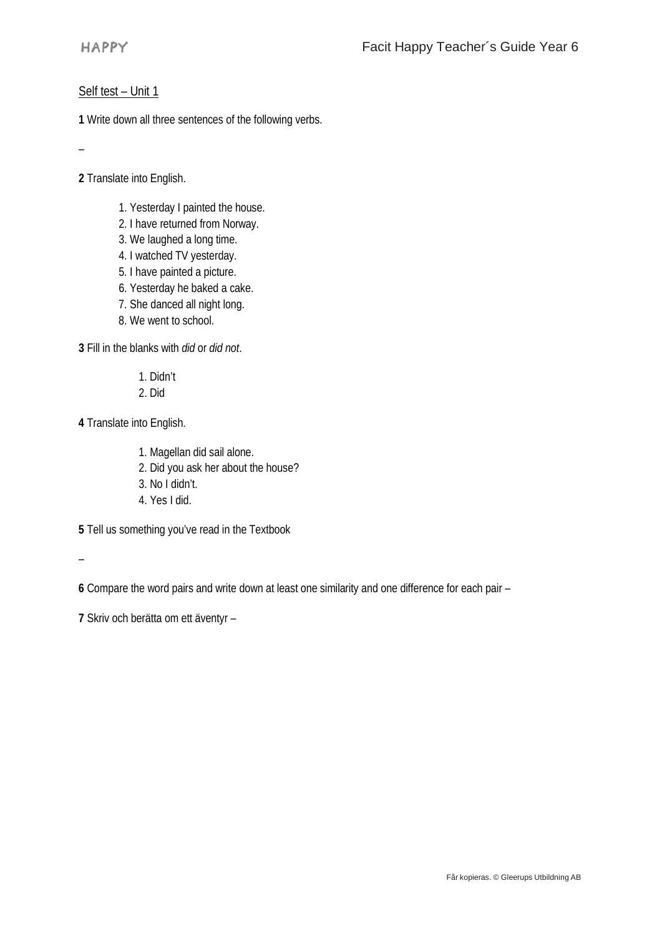#### Self test – Unit 1

**1** Write down all three sentences of the following verbs.

–

**2** Translate into English.

- 1. Yesterday I painted the house.
- 2. I have returned from Norway.
- 3. We laughed a long time.
- 4. I watched TV yesterday.
- 5. I have painted a picture.
- 6. Yesterday he baked a cake.
- 7. She danced all night long.
- 8. We went to school.

**3** Fill in the blanks with *did* or *did not*.

1. Didn't

2. Did

**4** Translate into English.

- 1. Magellan did sail alone.
- 2. Did you ask her about the house?
- 3. No I didn't.
- 4. Yes I did.

**5** Tell us something you've read in the Textbook

–

**6** Compare the word pairs and write down at least one similarity and one difference for each pair –

**7** Skriv och berätta om ett äventyr –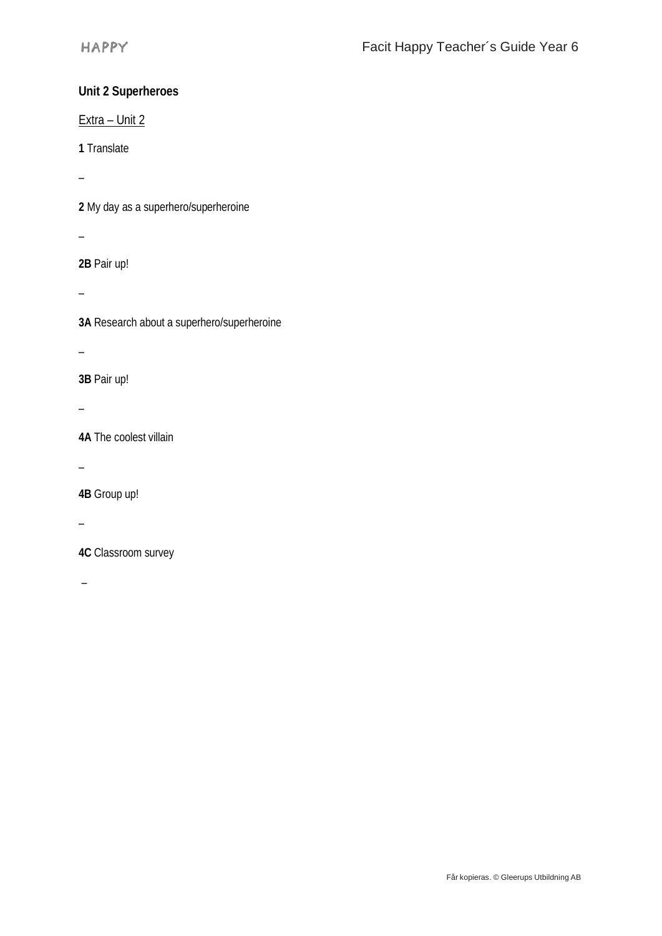# **Unit 2 Superheroes**

Extra – Unit 2

**1** Translate

–

**2** My day as a superhero/superheroine

–

**2B** Pair up!

–

**3A** Research about a superhero/superheroine

–

**3B** Pair up!

–

**4A** The coolest villain

–

**4B** Group up!

–

**4C** Classroom survey

–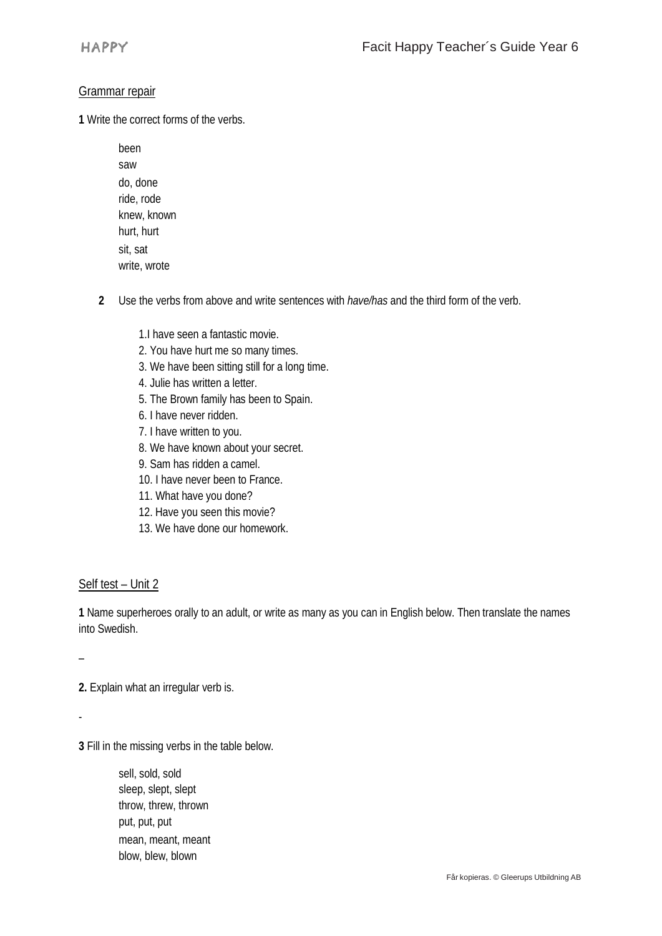#### Grammar repair

**1** Write the correct forms of the verbs.

- been saw do, done ride, rode knew, known hurt, hurt sit, sat write, wrote
- **2** Use the verbs from above and write sentences with *have/has* and the third form of the verb.
	- 1.I have seen a fantastic movie.
	- 2. You have hurt me so many times.
	- 3. We have been sitting still for a long time.
	- 4. Julie has written a letter.
	- 5. The Brown family has been to Spain.
	- 6. I have never ridden.
	- 7. I have written to you.
	- 8. We have known about your secret.
	- 9. Sam has ridden a camel.
	- 10. I have never been to France.
	- 11. What have you done?
	- 12. Have you seen this movie?
	- 13. We have done our homework.

#### Self test – Unit 2

**1** Name superheroes orally to an adult, or write as many as you can in English below. Then translate the names into Swedish.

–

**2.** Explain what an irregular verb is.

-

**3** Fill in the missing verbs in the table below.

sell, sold, sold sleep, slept, slept throw, threw, thrown put, put, put mean, meant, meant blow, blew, blown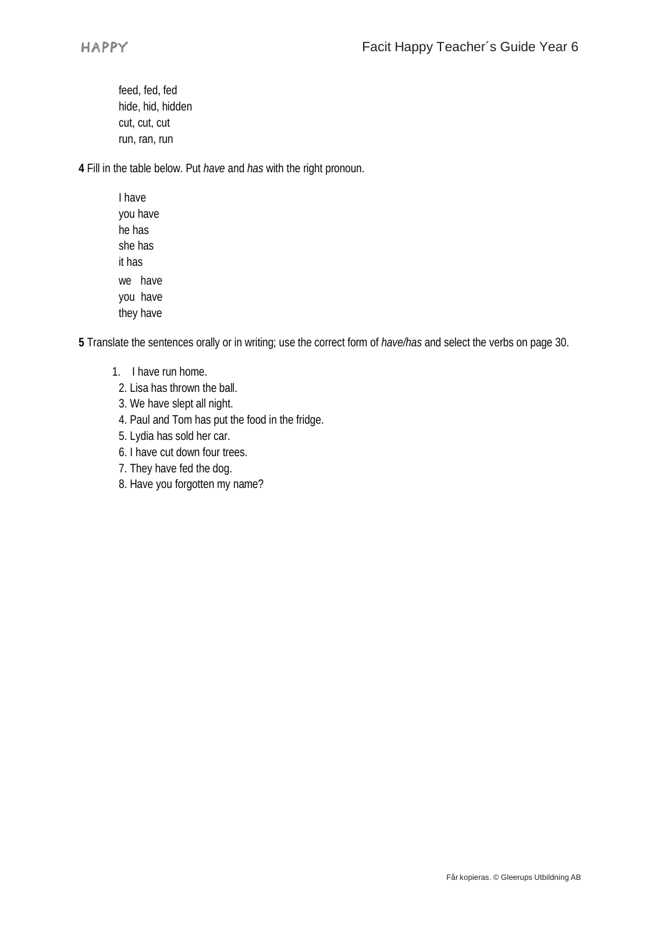feed, fed, fed hide, hid, hidden cut, cut, cut run, ran, run

**4** Fill in the table below. Put *have* and *has* with the right pronoun.

I have you have he has she has it has we have you have they have

**5** Translate the sentences orally or in writing; use the correct form of *have/has* and select the verbs on page 30.

- 1. I have run home.
- 2. Lisa has thrown the ball.
- 3. We have slept all night.
- 4. Paul and Tom has put the food in the fridge.
- 5. Lydia has sold her car.
- 6. I have cut down four trees.
- 7. They have fed the dog.
- 8. Have you forgotten my name?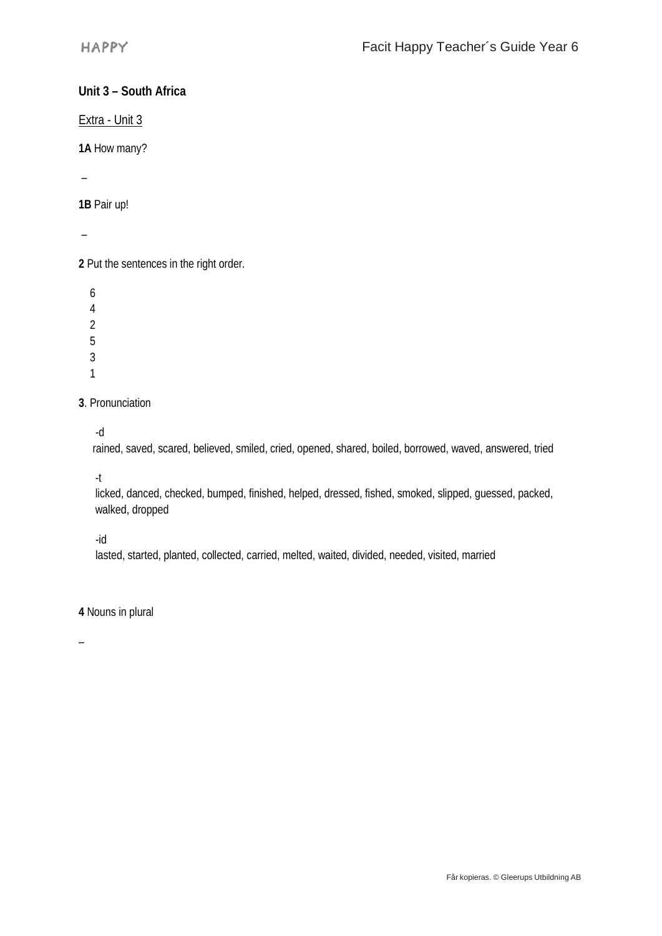## **Unit 3 – South Africa**

Extra - Unit 3

**1A** How many?

–

**1B** Pair up!

–

**2** Put the sentences in the right order.

**3**. Pronunciation

-d

rained, saved, scared, believed, smiled, cried, opened, shared, boiled, borrowed, waved, answered, tried

-t

licked, danced, checked, bumped, finished, helped, dressed, fished, smoked, slipped, guessed, packed, walked, dropped

-id

lasted, started, planted, collected, carried, melted, waited, divided, needed, visited, married

**4** Nouns in plural

–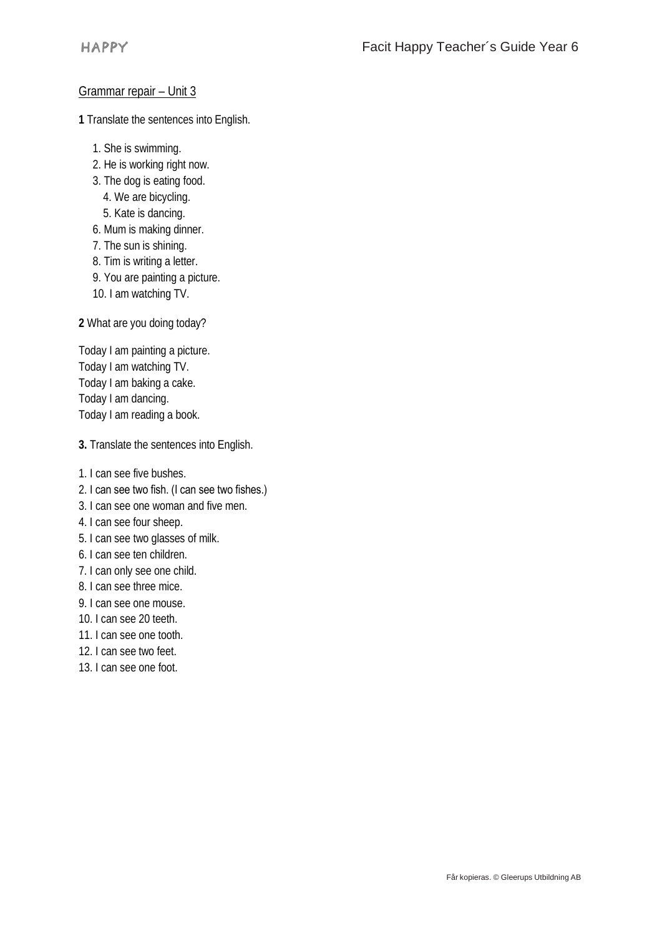#### Grammar repair – Unit 3

**1** Translate the sentences into English.

- 1. She is swimming.
- 2. He is working right now.
- 3. The dog is eating food.
	- 4. We are bicycling.
- 5. Kate is dancing.
- 6. Mum is making dinner.
- 7. The sun is shining.
- 8. Tim is writing a letter.
- 9. You are painting a picture.
- 10. I am watching TV.

**2** What are you doing today?

Today I am painting a picture. Today I am watching TV. Today I am baking a cake. Today I am dancing. Today I am reading a book.

**3.** Translate the sentences into English.

- 1. I can see five bushes.
- 2. I can see two fish. (I can see two fishes.)
- 3. I can see one woman and five men.
- 4. I can see four sheep.
- 5. I can see two glasses of milk.
- 6. I can see ten children.
- 7. I can only see one child.
- 8. I can see three mice.
- 9. I can see one mouse.
- 10. I can see 20 teeth.
- 11. I can see one tooth.
- 12. I can see two feet.
- 13. I can see one foot.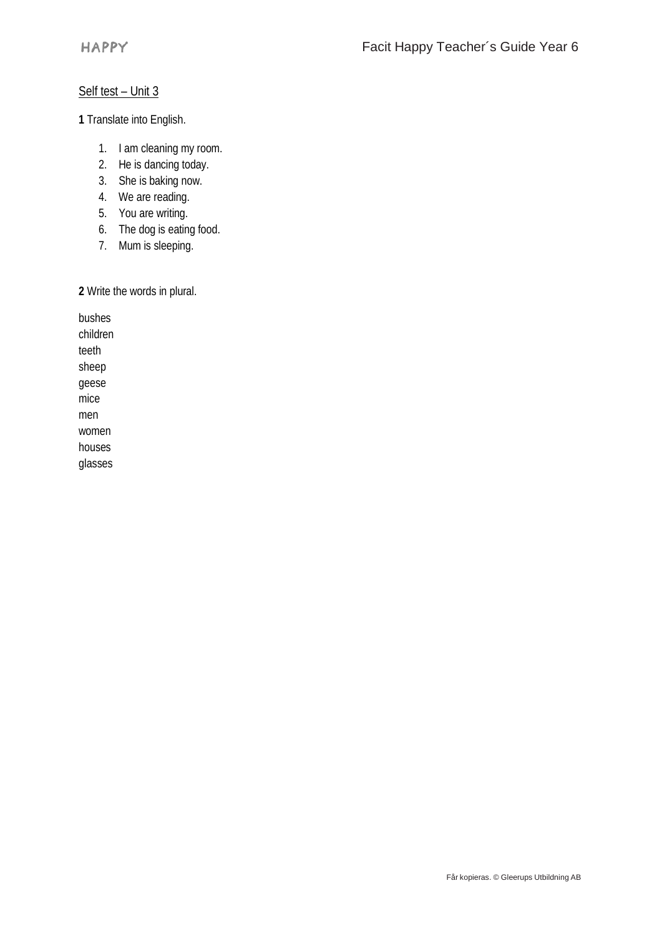## Self test – Unit 3

**1** Translate into English.

- 1. I am cleaning my room.
- 2. He is dancing today.
- 3. She is baking now.
- 4. We are reading.
- 5. You are writing.
- 6. The dog is eating food.
- 7. Mum is sleeping.

**2** Write the words in plural.

bushes children teeth sheep geese mice men women houses

glasses

Får kopieras. © Gleerups Utbildning AB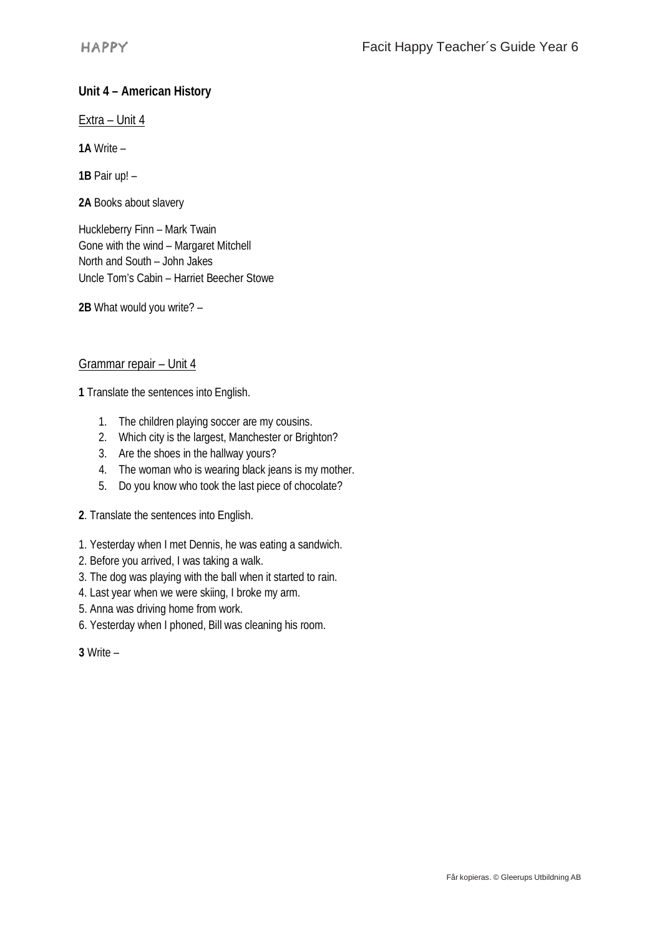# **Unit 4 – American History**

Extra – Unit 4

**1A** Write –

**1B** Pair up! –

**2A** Books about slavery

Huckleberry Finn – Mark Twain Gone with the wind – Margaret Mitchell North and South – John Jakes Uncle Tom's Cabin – Harriet Beecher Stowe

**2B** What would you write? –

#### Grammar repair – Unit 4

**1** Translate the sentences into English.

- 1. The children playing soccer are my cousins.
- 2. Which city is the largest, Manchester or Brighton?
- 3. Are the shoes in the hallway yours?
- 4. The woman who is wearing black jeans is my mother.
- 5. Do you know who took the last piece of chocolate?
- **2**. Translate the sentences into English.
- 1. Yesterday when I met Dennis, he was eating a sandwich.
- 2. Before you arrived, I was taking a walk.
- 3. The dog was playing with the ball when it started to rain.
- 4. Last year when we were skiing, I broke my arm.
- 5. Anna was driving home from work.
- 6. Yesterday when I phoned, Bill was cleaning his room.

**3** Write –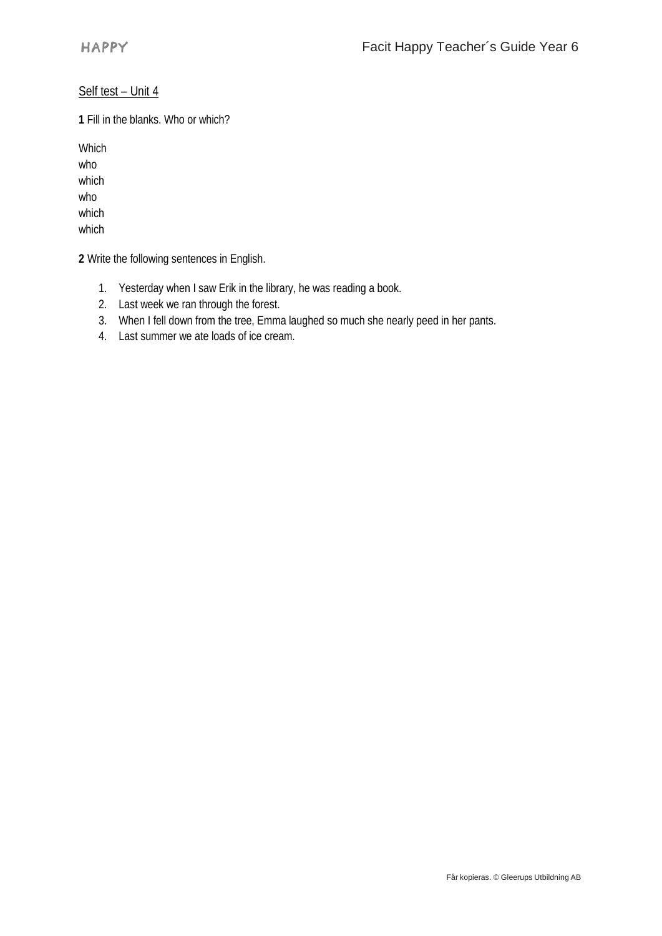### Self test – Unit 4

**1** Fill in the blanks. Who or which?

Which who which who which which

**2** Write the following sentences in English.

- 1. Yesterday when I saw Erik in the library, he was reading a book.
- 2. Last week we ran through the forest.
- 3. When I fell down from the tree, Emma laughed so much she nearly peed in her pants.
- 4. Last summer we ate loads of ice cream.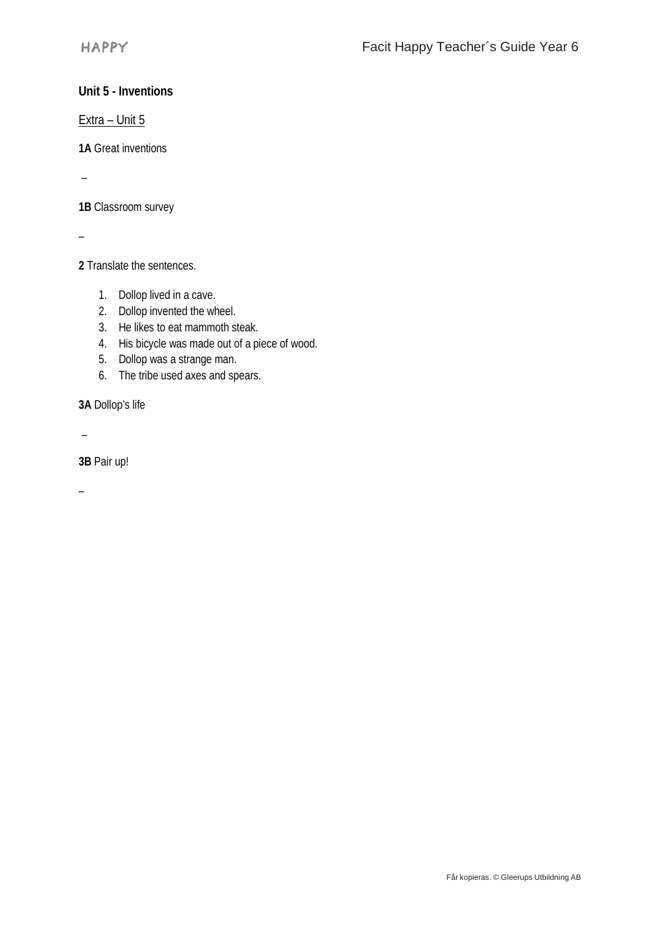## **Unit 5 - Inventions**

Extra – Unit 5

**1A** Great inventions

–

**1B** Classroom survey

–

**2** Translate the sentences.

- 1. Dollop lived in a cave.
- 2. Dollop invented the wheel.
- 3. He likes to eat mammoth steak.
- 4. His bicycle was made out of a piece of wood.
- 5. Dollop was a strange man.
- 6. The tribe used axes and spears.

**3A** Dollop's life

–

**3B** Pair up!

–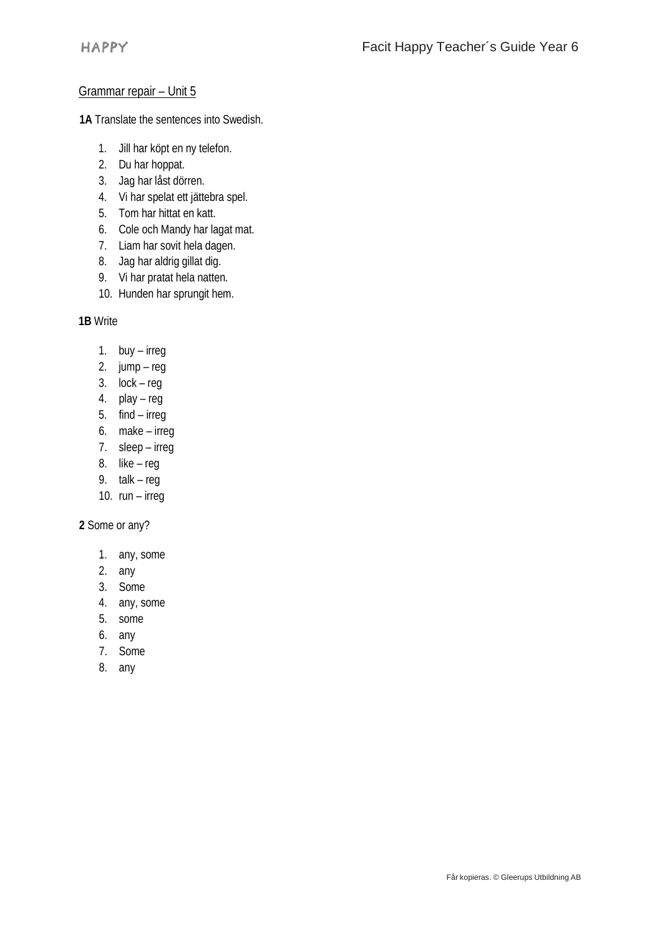#### Grammar repair – Unit 5

**1A** Translate the sentences into Swedish.

- 1. Jill har köpt en ny telefon.
- 2. Du har hoppat.
- 3. Jag har låst dörren.
- 4. Vi har spelat ett jättebra spel.
- 5. Tom har hittat en katt.
- 6. Cole och Mandy har lagat mat.
- 7. Liam har sovit hela dagen.
- 8. Jag har aldrig gillat dig.
- 9. Vi har pratat hela natten.
- 10. Hunden har sprungit hem.

**1B** Write

- 1. buy irreg
- 2. jump reg
- 3. lock reg
- 4. play reg
- 5. find irreg
- 6. make irreg
- 7. sleep irreg
- 8. like reg
- 9. talk reg
- 10. run irreg

**2** Some or any?

- 1. any, some
- 2. any
- 3. Some
- 4. any, some
- 5. some
- 6. any
- 7. Some
- 8. any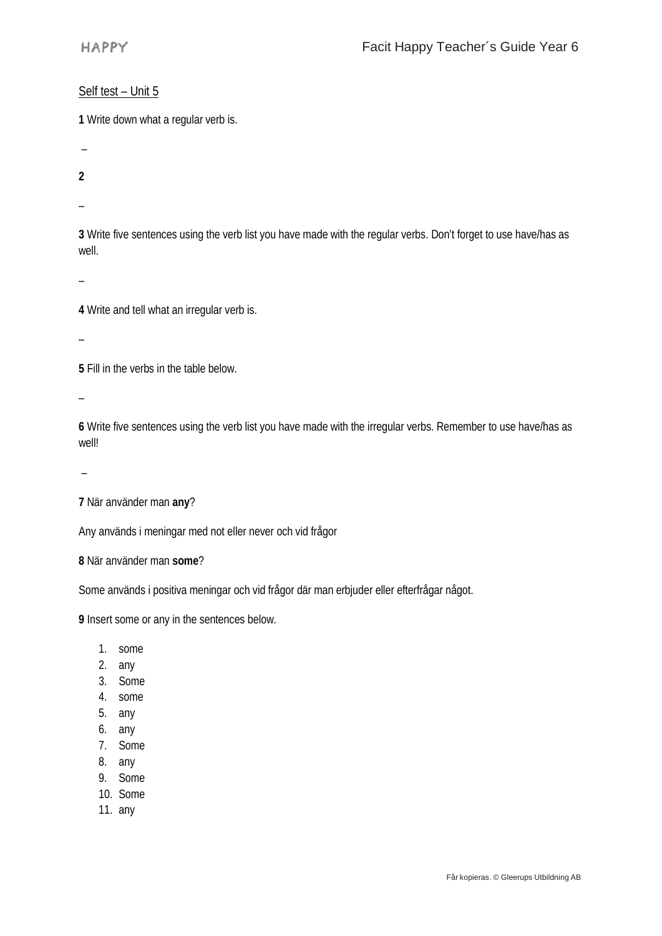#### Self test – Unit 5

**1** Write down what a regular verb is.

–

**2**

–

**3** Write five sentences using the verb list you have made with the regular verbs. Don't forget to use have/has as well.

–

**4** Write and tell what an irregular verb is.

–

**5** Fill in the verbs in the table below.

 $\overline{\phantom{a}}$ 

**6** Write five sentences using the verb list you have made with the irregular verbs. Remember to use have/has as well!

–

**7** När använder man **any**?

Any används i meningar med not eller never och vid frågor

**8** När använder man **some**?

Some används i positiva meningar och vid frågor där man erbjuder eller efterfrågar något.

**9** Insert some or any in the sentences below.

- 1. some
- 2. any
- 3. Some
- 4. some
- 5. any
- 6. any
- 7. Some
- 8. any
- 9. Some
- 10. Some
- 11. any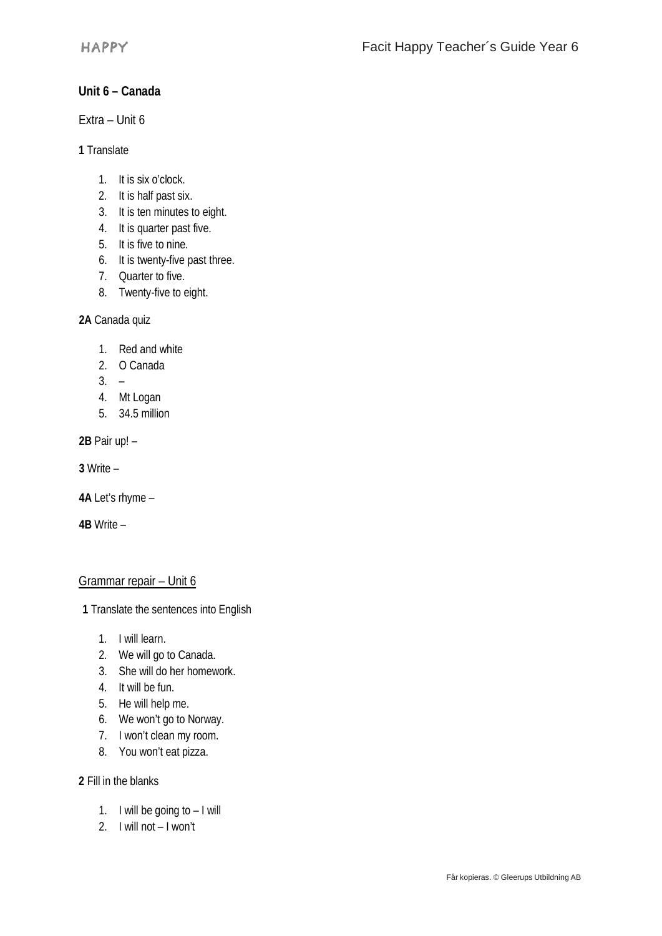# **Unit 6 – Canada**

Extra – Unit 6

**1** Translate

- 1. It is six o'clock.
- 2. It is half past six.
- 3. It is ten minutes to eight.
- 4. It is quarter past five.
- 5. It is five to nine.
- 6. It is twenty-five past three.
- 7. Quarter to five.
- 8. Twenty-five to eight.

**2A** Canada quiz

- 1. Red and white
- 2. O Canada
- $3. -$
- 4. Mt Logan
- 5. 34.5 million

**2B** Pair up! –

**3** Write –

**4A** Let's rhyme –

**4B** Write –

## Grammar repair – Unit 6

**1** Translate the sentences into English

- 1. I will learn.
- 2. We will go to Canada.
- 3. She will do her homework.
- 4. It will be fun.
- 5. He will help me.
- 6. We won't go to Norway.
- 7. I won't clean my room.
- 8. You won't eat pizza.

**2** Fill in the blanks

- 1. I will be going to I will
- 2. I will not I won't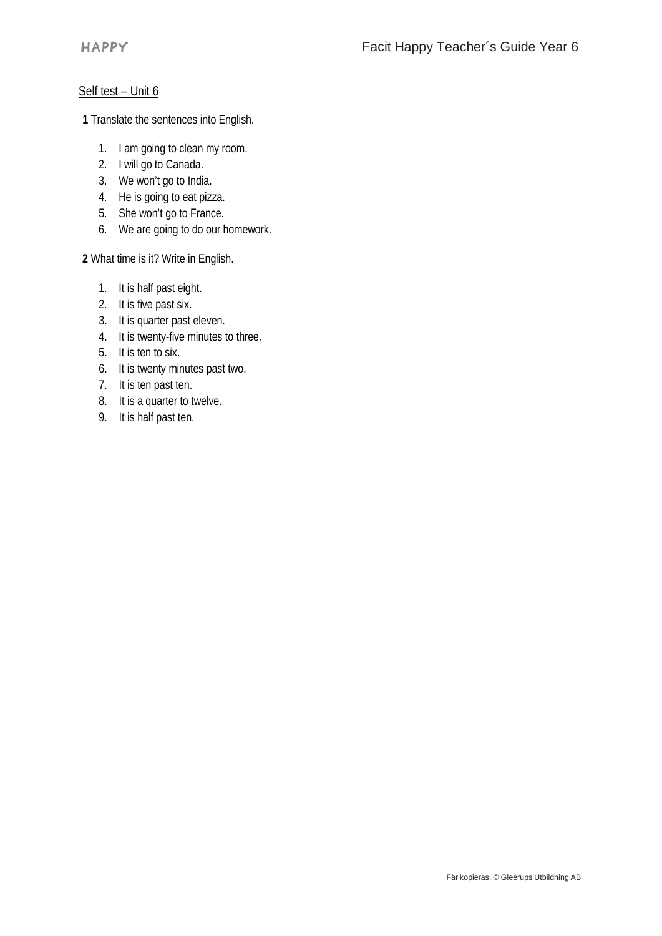## Self test - Unit 6

**1** Translate the sentences into English.

- 1. I am going to clean my room.
- 2. I will go to Canada.
- 3. We won't go to India.
- 4. He is going to eat pizza.
- 5. She won't go to France.
- 6. We are going to do our homework.

**2** What time is it? Write in English.

- 1. It is half past eight.
- 2. It is five past six.
- 3. It is quarter past eleven.
- 4. It is twenty-five minutes to three.
- 5. It is ten to six.
- 6. It is twenty minutes past two.
- 7. It is ten past ten.
- 8. It is a quarter to twelve.
- 9. It is half past ten.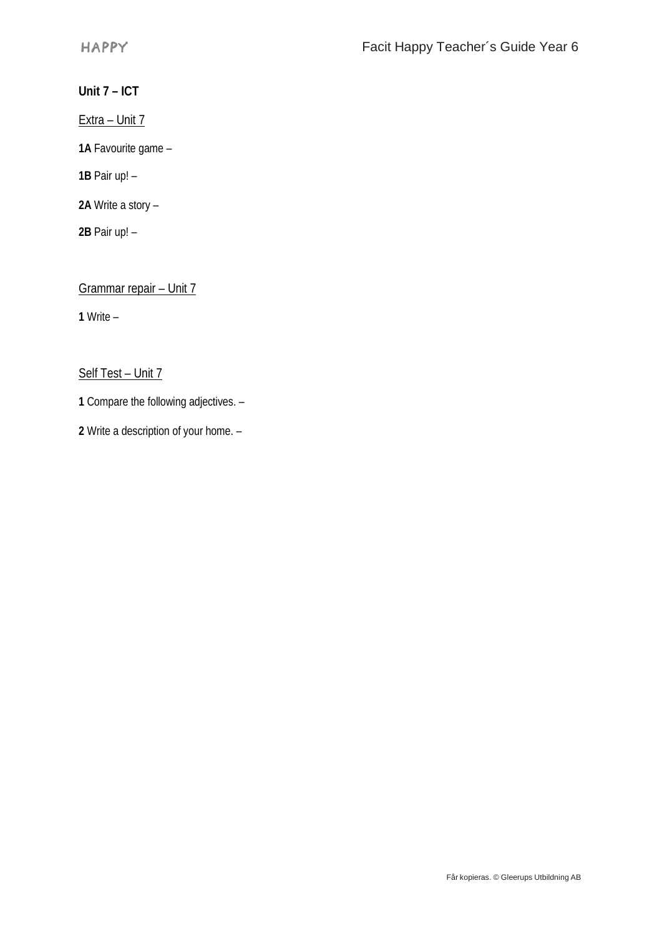**Unit 7 – ICT**

Extra - Unit 7

**1A** Favourite game –

**1B** Pair up! –

**2A** Write a story –

**2B** Pair up! –

Grammar repair – Unit 7

**1** Write –

Self Test – Unit 7

**1** Compare the following adjectives. –

**2** Write a description of your home. –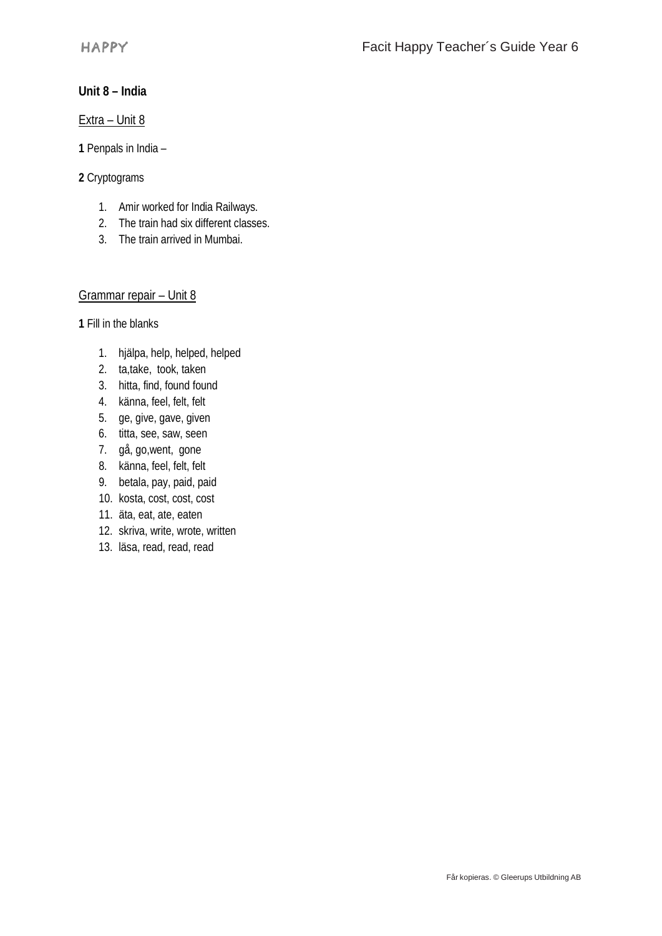## **Unit 8 – India**

Extra – Unit 8

**1** Penpals in India –

#### **2** Cryptograms

- 1. Amir worked for India Railways.
- 2. The train had six different classes.
- 3. The train arrived in Mumbai.

#### Grammar repair – Unit 8

**1** Fill in the blanks

- 1. hjälpa, help, helped, helped
- 2. ta,take, took, taken
- 3. hitta, find, found found
- 4. känna, feel, felt, felt
- 5. ge, give, gave, given
- 6. titta, see, saw, seen
- 7. gå, go,went, gone
- 8. känna, feel, felt, felt
- 9. betala, pay, paid, paid
- 10. kosta, cost, cost, cost
- 11. äta, eat, ate, eaten
- 12. skriva, write, wrote, written
- 13. läsa, read, read, read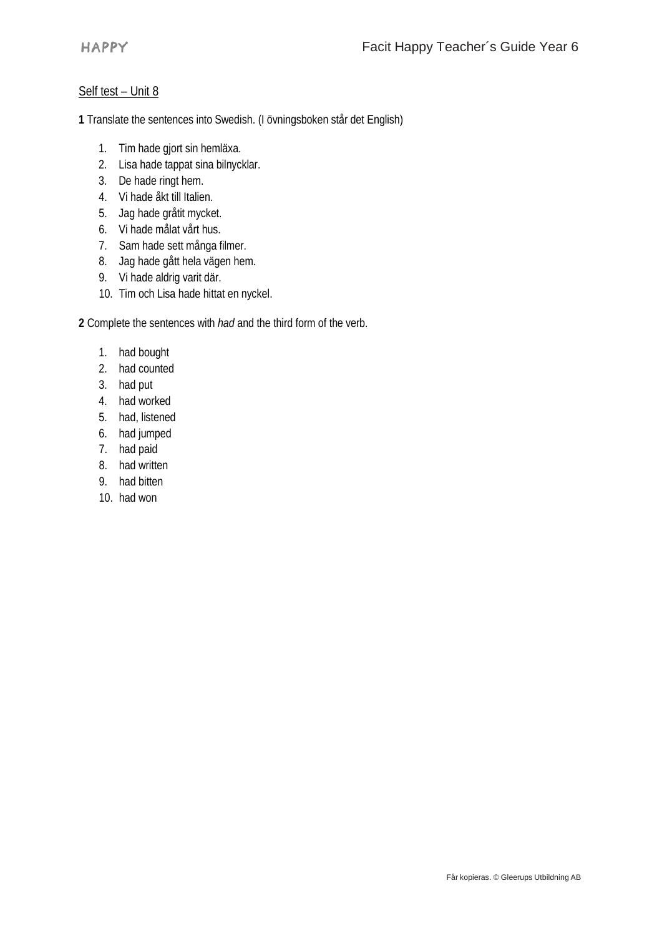#### Self test – Unit 8

**1** Translate the sentences into Swedish. (I övningsboken står det English)

- 1. Tim hade gjort sin hemläxa.
- 2. Lisa hade tappat sina bilnycklar.
- 3. De hade ringt hem.
- 4. Vi hade åkt till Italien.
- 5. Jag hade gråtit mycket.
- 6. Vi hade målat vårt hus.
- 7. Sam hade sett många filmer.
- 8. Jag hade gått hela vägen hem.
- 9. Vi hade aldrig varit där.
- 10. Tim och Lisa hade hittat en nyckel.

**2** Complete the sentences with *had* and the third form of the verb.

- 1. had bought
- 2. had counted
- 3. had put
- 4. had worked
- 5. had, listened
- 6. had jumped
- 7. had paid
- 8. had written
- 9. had bitten
- 10. had won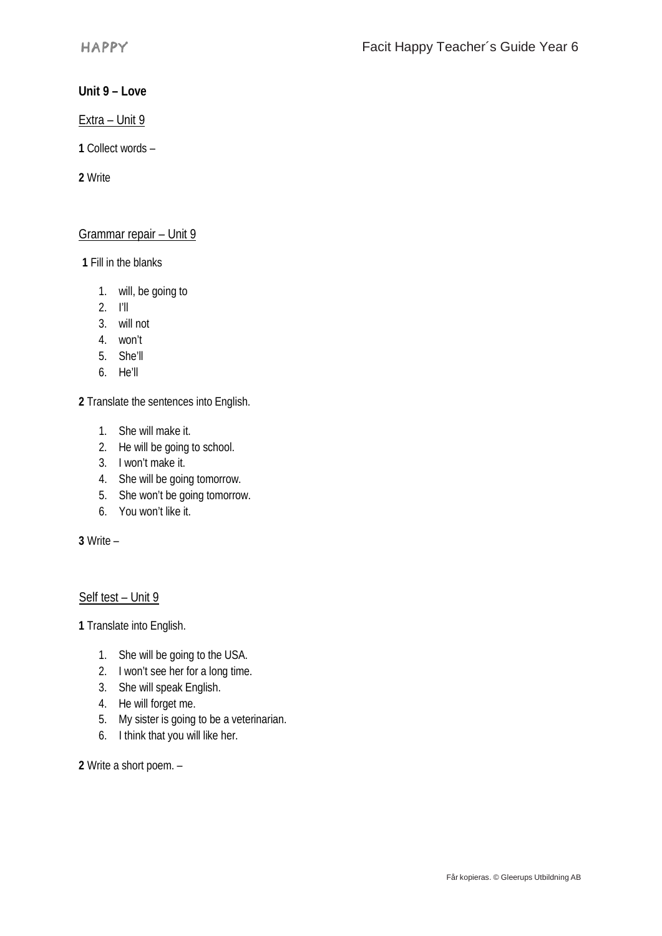### **Unit 9 – Love**

Extra – Unit 9

**1** Collect words –

**2** Write

### Grammar repair – Unit 9

**1** Fill in the blanks

- 1. will, be going to
- 2. I'll
- 3. will not
- 4. won't
- 5. She'll
- 6. He'll

**2** Translate the sentences into English.

- 1. She will make it.
- 2. He will be going to school.
- 3. I won't make it.
- 4. She will be going tomorrow.
- 5. She won't be going tomorrow.
- 6. You won't like it.

**3** Write –

## Self test – Unit 9

**1** Translate into English.

- 1. She will be going to the USA.
- 2. I won't see her for a long time.
- 3. She will speak English.
- 4. He will forget me.
- 5. My sister is going to be a veterinarian.
- 6. I think that you will like her.

**2** Write a short poem. –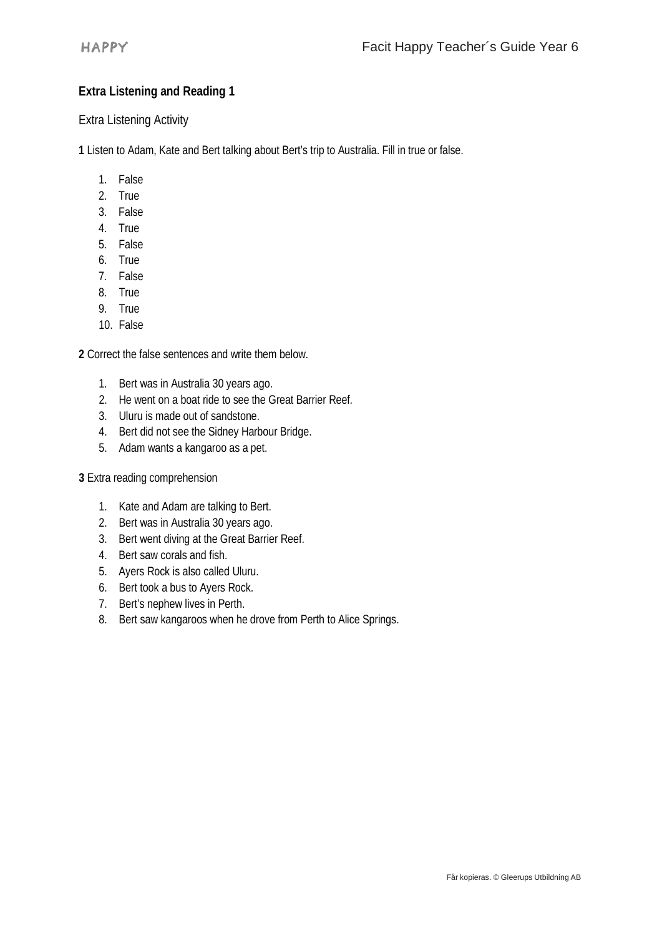# **Extra Listening and Reading 1**

Extra Listening Activity

**1** Listen to Adam, Kate and Bert talking about Bert's trip to Australia. Fill in true or false.

- 1. False
- 2. True
- 3. False
- 4. True
- 5. False
- 6. True
- 7. False
- 8. True
- 9. True
- 10. False

**2** Correct the false sentences and write them below.

- 1. Bert was in Australia 30 years ago.
- 2. He went on a boat ride to see the Great Barrier Reef.
- 3. Uluru is made out of sandstone.
- 4. Bert did not see the Sidney Harbour Bridge.
- 5. Adam wants a kangaroo as a pet.

#### **3** Extra reading comprehension

- 1. Kate and Adam are talking to Bert.
- 2. Bert was in Australia 30 years ago.
- 3. Bert went diving at the Great Barrier Reef.
- 4. Bert saw corals and fish.
- 5. Ayers Rock is also called Uluru.
- 6. Bert took a bus to Ayers Rock.
- 7. Bert's nephew lives in Perth.
- 8. Bert saw kangaroos when he drove from Perth to Alice Springs.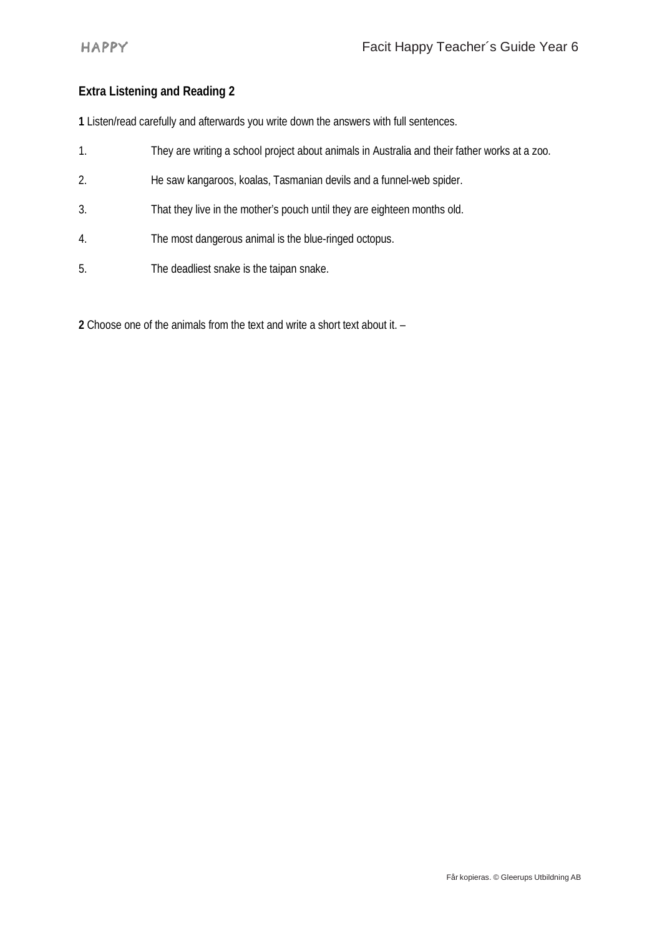# **Extra Listening and Reading 2**

**1** Listen/read carefully and afterwards you write down the answers with full sentences.

- 1. They are writing a school project about animals in Australia and their father works at a zoo.
- 2. He saw kangaroos, koalas, Tasmanian devils and a funnel-web spider.
- 3. That they live in the mother's pouch until they are eighteen months old.
- 4. The most dangerous animal is the blue-ringed octopus.
- 5. The deadliest snake is the taipan snake.

**2** Choose one of the animals from the text and write a short text about it. –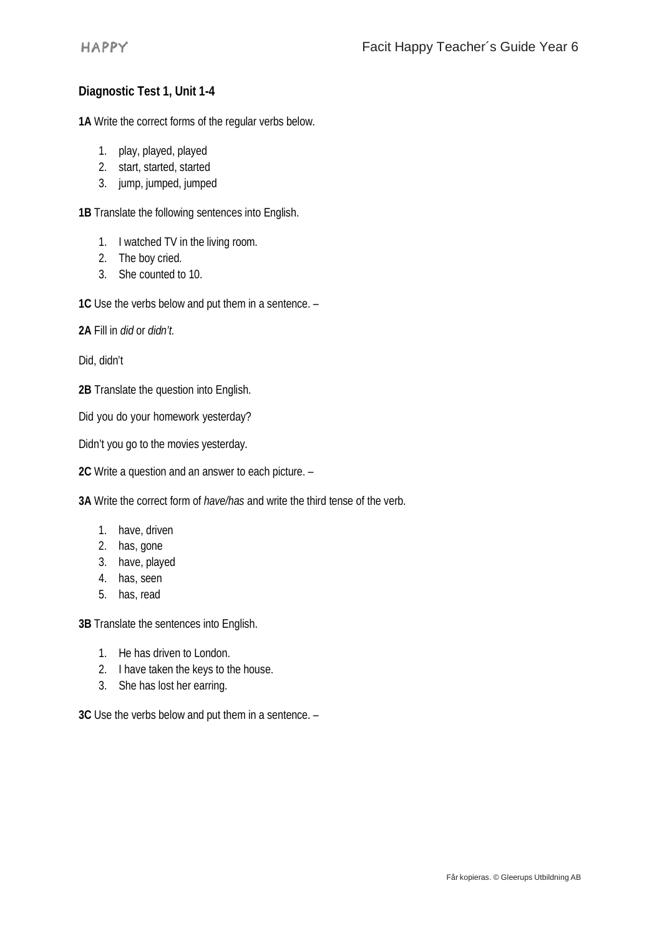# **Diagnostic Test 1, Unit 1-4**

**1A** Write the correct forms of the regular verbs below.

- 1. play, played, played
- 2. start, started, started
- 3. jump, jumped, jumped

**1B** Translate the following sentences into English.

- 1. I watched TV in the living room.
- 2. The boy cried.
- 3. She counted to 10.

**1C** Use the verbs below and put them in a sentence. –

**2A** Fill in *did* or *didn't.*

Did, didn't

**2B** Translate the question into English.

Did you do your homework yesterday?

Didn't you go to the movies yesterday.

**2C** Write a question and an answer to each picture. –

**3A** Write the correct form of *have/has* and write the third tense of the verb.

- 1. have, driven
- 2. has, gone
- 3. have, played
- 4. has, seen
- 5. has, read

**3B** Translate the sentences into English.

- 1. He has driven to London.
- 2. I have taken the keys to the house.
- 3. She has lost her earring.

**3C** Use the verbs below and put them in a sentence. –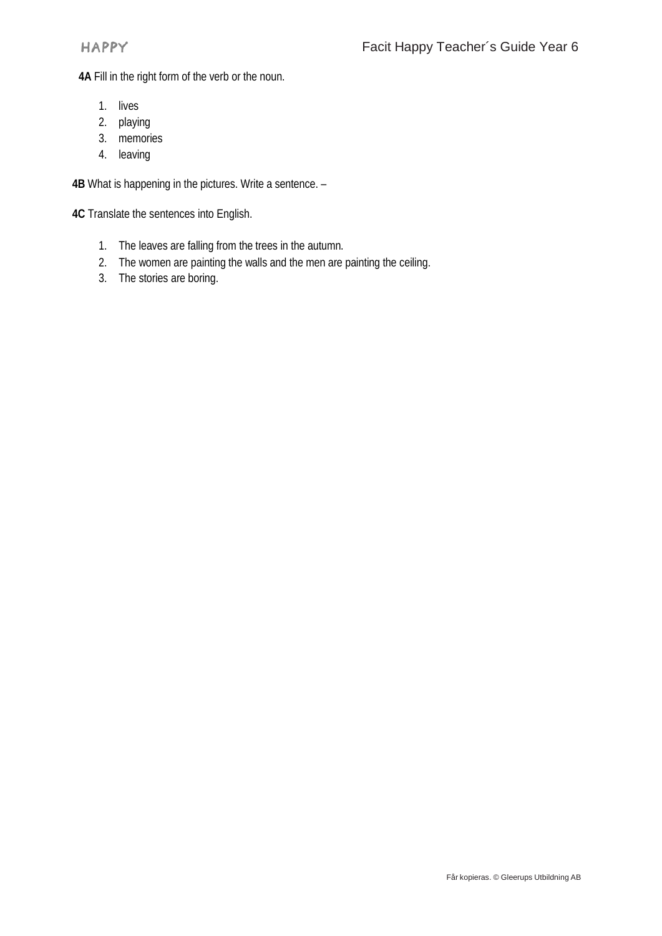**4A** Fill in the right form of the verb or the noun.

- 1. lives
- 2. playing
- 3. memories
- 4. leaving

**4B** What is happening in the pictures. Write a sentence. –

**4C** Translate the sentences into English.

- 1. The leaves are falling from the trees in the autumn.
- 2. The women are painting the walls and the men are painting the ceiling.
- 3. The stories are boring.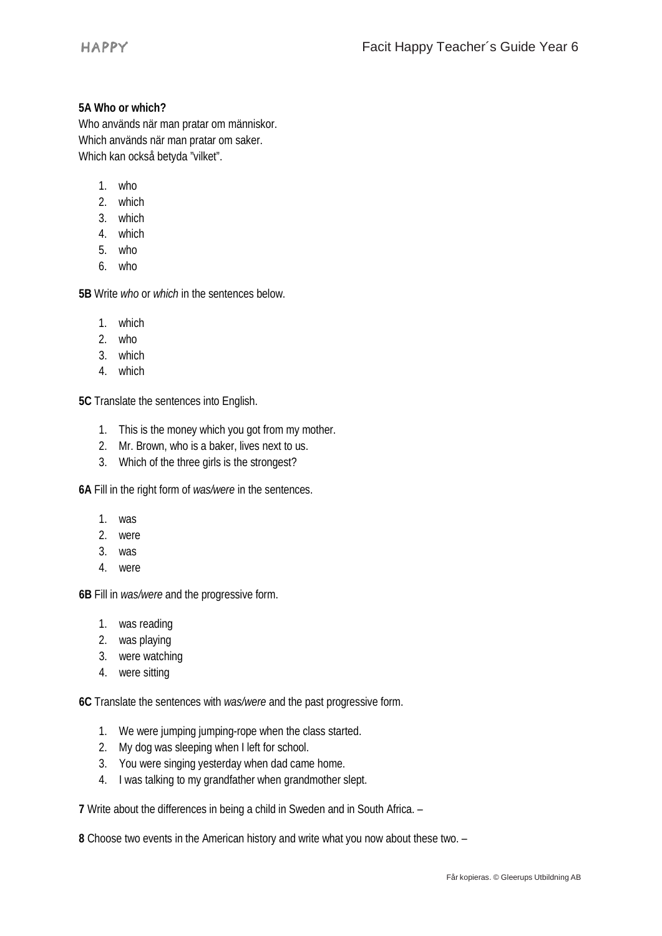#### **5A Who or which?**

Who används när man pratar om människor. Which används när man pratar om saker. Which kan också betyda "vilket".

- 1. who
- 2. which
- 3. which
- 4. which
- 5. who
- 6. who

**5B** Write *who* or *which* in the sentences below.

- 1. which
- 2. who
- 3. which
- 4. which

**5C** Translate the sentences into English.

- 1. This is the money which you got from my mother.
- 2. Mr. Brown, who is a baker, lives next to us.
- 3. Which of the three girls is the strongest?

**6A** Fill in the right form of *was/were* in the sentences.

- 1. was
- 2. were
- 3. was
- 4. were

**6B** Fill in *was/were* and the progressive form.

- 1. was reading
- 2. was playing
- 3. were watching
- 4. were sitting

**6C** Translate the sentences with *was/were* and the past progressive form.

- 1. We were jumping jumping-rope when the class started.
- 2. My dog was sleeping when I left for school.
- 3. You were singing yesterday when dad came home.
- 4. I was talking to my grandfather when grandmother slept.

**7** Write about the differences in being a child in Sweden and in South Africa. –

**8** Choose two events in the American history and write what you now about these two. –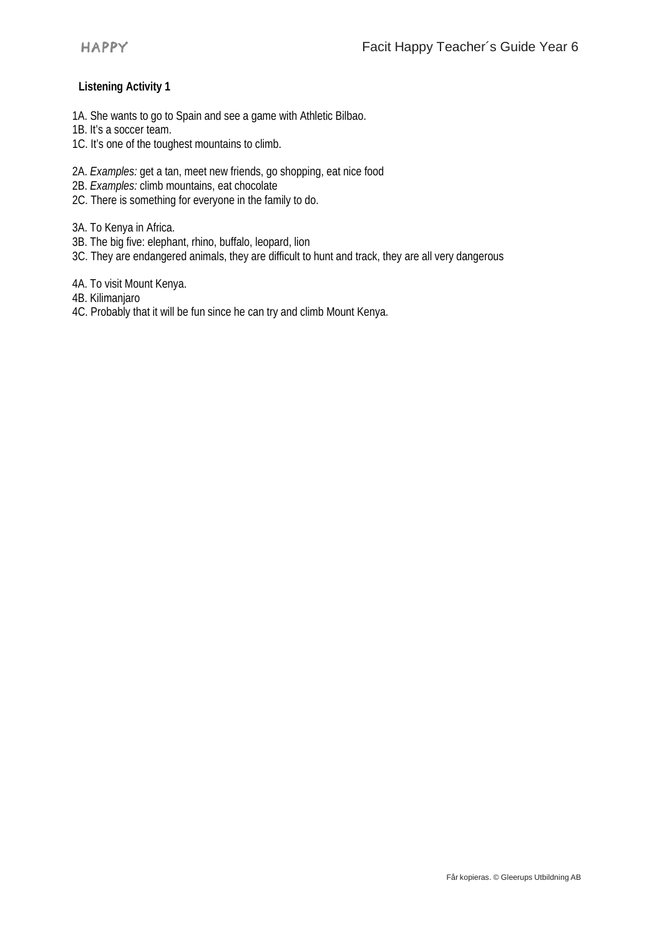## **Listening Activity 1**

- 1A. She wants to go to Spain and see a game with Athletic Bilbao.
- 1B. It's a soccer team.
- 1C. It's one of the toughest mountains to climb.
- 2A. *Examples:* get a tan, meet new friends, go shopping, eat nice food
- 2B. *Examples:* climb mountains, eat chocolate
- 2C. There is something for everyone in the family to do.

3A. To Kenya in Africa.

- 3B. The big five: elephant, rhino, buffalo, leopard, lion
- 3C. They are endangered animals, they are difficult to hunt and track, they are all very dangerous

4A. To visit Mount Kenya.

- 4B. Kilimanjaro
- 4C. Probably that it will be fun since he can try and climb Mount Kenya.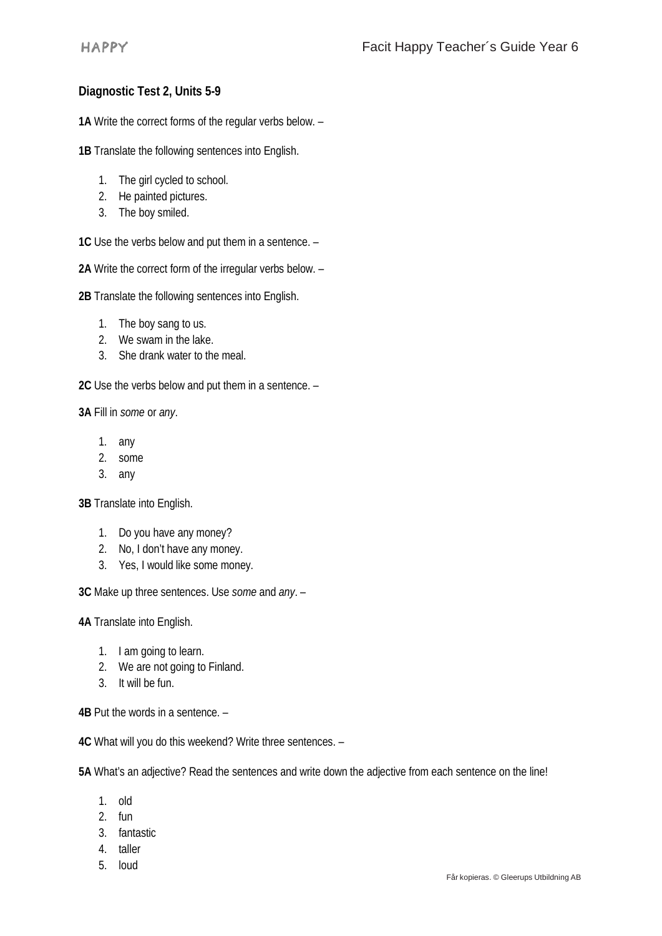# **Diagnostic Test 2, Units 5-9**

**1A** Write the correct forms of the regular verbs below. –

**1B** Translate the following sentences into English.

- 1. The girl cycled to school.
- 2. He painted pictures.
- 3. The boy smiled.

**1C** Use the verbs below and put them in a sentence. –

**2A** Write the correct form of the irregular verbs below. –

**2B** Translate the following sentences into English.

- 1. The boy sang to us.
- 2. We swam in the lake.
- 3. She drank water to the meal.

**2C** Use the verbs below and put them in a sentence. –

**3A** Fill in *some* or *any*.

- 1. any
- 2. some
- 3. any

**3B** Translate into English.

- 1. Do you have any money?
- 2. No, I don't have any money.
- 3. Yes, I would like some money.

**3C** Make up three sentences. Use *some* and *any*. –

**4A** Translate into English.

- 1. I am going to learn.
- 2. We are not going to Finland.
- 3. It will be fun.

**4B** Put the words in a sentence. –

**4C** What will you do this weekend? Write three sentences. –

**5A** What's an adjective? Read the sentences and write down the adjective from each sentence on the line!

- 1. old
- 2. fun
- 3. fantastic
- 4. taller
- 5. loud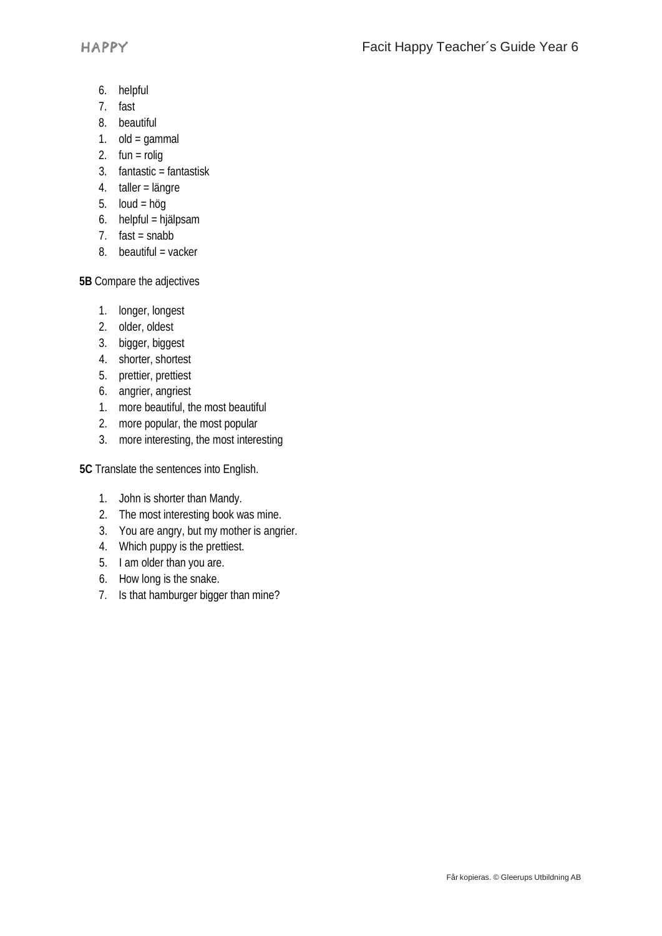- 6. helpful
- 7. fast
- 8. beautiful
- 1. old =  $gamma$
- 2.  $fun = rolig$
- 3. fantastic = fantastisk
- 4. taller = längre
- 5.  $Ioud = höq$
- 6. helpful = hjälpsam
- 7.  $fast = snabb$
- 8. beautiful = vacker

**5B** Compare the adjectives

- 1. longer, longest
- 2. older, oldest
- 3. bigger, biggest
- 4. shorter, shortest
- 5. prettier, prettiest
- 6. angrier, angriest
- 1. more beautiful, the most beautiful
- 2. more popular, the most popular
- 3. more interesting, the most interesting

**5C** Translate the sentences into English.

- 1. John is shorter than Mandy.
- 2. The most interesting book was mine.
- 3. You are angry, but my mother is angrier.
- 4. Which puppy is the prettiest.
- 5. I am older than you are.
- 6. How long is the snake.
- 7. Is that hamburger bigger than mine?